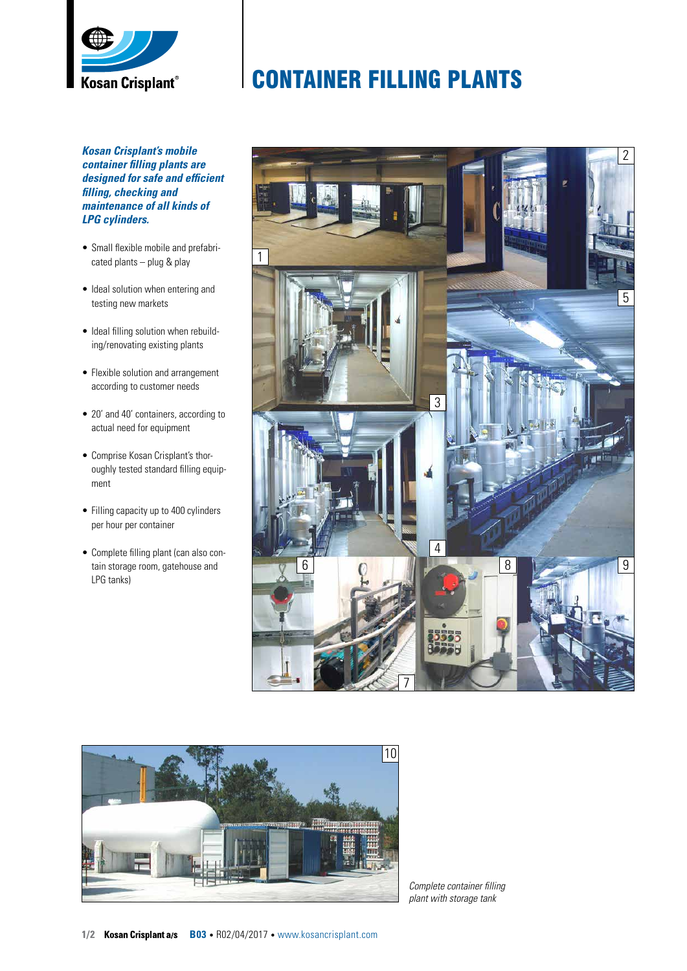

# CONTAINER FILLING PLANTS

## *Kosan Crisplant's mobile container filling plants are designed for safe and efficient filling, checking and maintenance of all kinds of LPG cylinders.*

- Small flexible mobile and prefabricated plants – plug & play
- Ideal solution when entering and testing new markets
- Ideal filling solution when rebuilding/renovating existing plants
- Flexible solution and arrangement according to customer needs
- 20' and 40' containers, according to actual need for equipment
- Comprise Kosan Crisplant's thoroughly tested standard filling equipment
- Filling capacity up to 400 cylinders per hour per container
- Complete filling plant (can also contain storage room, gatehouse and LPG tanks)





*Complete container filling plant with storage tank*